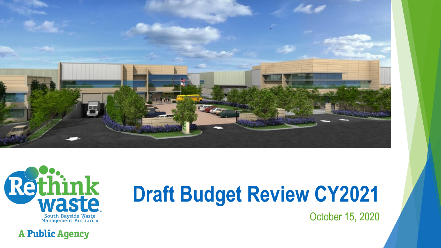



**A Public Agency** 

# **Draft Budget Review CY2021**

October 15, 2020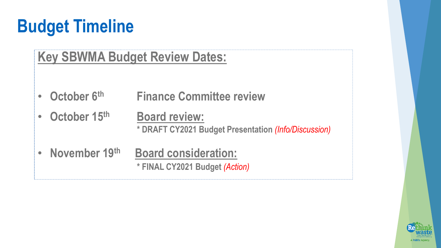## **Budget Timeline**

#### **Key SBWMA Budget Review Dates:**

- **October 6th Finance Committee review**
- **October 15th Board review: \* DRAFT CY2021 Budget Presentation** *(Info/Discussion)*
- **November 19th Board consideration: \* FINAL CY2021 Budget** *(Action)*

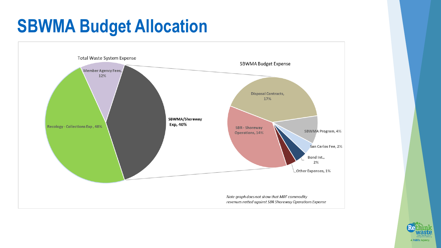### **SBWMA Budget Allocation**



![](_page_2_Picture_2.jpeg)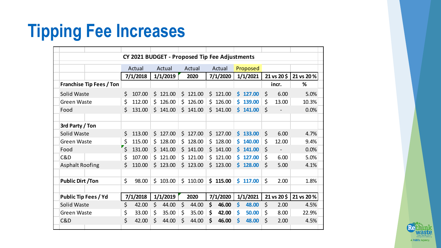### **Tipping Fee Increases**

| CY 2021 BUDGET - Proposed Tip Fee Adjustments |                                   |          |    |            |         |          |     |          |     |            |                       |                              |           |
|-----------------------------------------------|-----------------------------------|----------|----|------------|---------|----------|-----|----------|-----|------------|-----------------------|------------------------------|-----------|
|                                               |                                   | Actual   |    | Actual     |         | Actual   |     | Actual   |     | Proposed   |                       |                              |           |
|                                               |                                   | 7/1/2018 |    | 1/1/2019   |         | 2020     |     | 7/1/2020 |     | 1/1/2021   |                       | $21 \text{ vs } 20 \text{ }$ | 21 vs 20% |
| Franchise Tip Fees / Ton                      |                                   |          |    |            |         |          |     |          |     |            |                       | incr.                        | %         |
| <b>Solid Waste</b>                            | \$                                | 107.00   |    | \$121.00   |         | \$121.00 |     | \$121.00 | Ś.  | 127.00     | \$                    | 6.00                         | 5.0%      |
| <b>Green Waste</b>                            | \$                                | 112.00   |    | \$126.00   |         | \$126.00 |     | \$126.00 | Ś.  | 139.00     | \$                    | 13.00                        | 10.3%     |
| Food                                          | Ś.                                | 131.00   |    | \$141.00   |         | \$141.00 |     | \$141.00 |     | 5141.00    | $\mathsf{S}$          |                              | 0.0%      |
|                                               |                                   |          |    |            |         |          |     |          |     |            |                       |                              |           |
| 3rd Party / Ton                               |                                   |          |    |            |         |          |     |          |     |            |                       |                              |           |
| Solid Waste                                   | $\mathsf{S}$                      | 113.00   |    | \$127.00   |         | \$127.00 |     | \$127.00 |     | $5$ 133.00 | Ś.                    | 6.00                         | 4.7%      |
| <b>Green Waste</b>                            | $\zeta$                           | 115.00   | Ś. | 128.00     | Ś.      | 128.00   | Ś.  | 128.00   | Ś.  | 140.00     | \$                    | 12.00                        | 9.4%      |
| Food                                          | $\mathbf{r}_{\boldsymbol{\zeta}}$ | 131.00   |    | $5$ 141.00 |         | \$141.00 |     | \$141.00 |     | \$141.00   | $\mathsf{\mathsf{S}}$ |                              | 0.0%      |
| C&D                                           | \$                                | 107.00   |    | \$121.00   |         | \$121.00 | \$. | 121.00   | \$. | 127.00     | \$                    | 6.00                         | 5.0%      |
| <b>Asphalt Roofing</b>                        | Ś.                                | 110.00   |    | \$123.00   |         | \$123.00 |     | \$123.00 |     | $5$ 128.00 | $\mathsf{\dot{S}}$    | 5.00                         | 4.1%      |
|                                               |                                   |          |    |            |         |          |     |          |     |            |                       |                              |           |
| <b>Public Dirt /Ton</b>                       | \$                                | 98.00    |    | \$103.00   |         | \$110.00 | \$  | 115.00   | \$. | 117.00     | \$                    | 2.00                         | 1.8%      |
|                                               |                                   |          |    |            |         |          |     |          |     |            |                       |                              |           |
| <b>Public Tip Fees / Yd</b>                   |                                   | 7/1/2018 |    | 1/1/2019   |         | 2020     |     | 7/1/2020 |     | 1/1/2021   |                       | 21 vs 20\$                   | 21 vs 20% |
| Solid Waste                                   | \$                                | 42.00    | \$ | 44.00      | $\zeta$ | 44.00    | \$  | 46.00    | \$  | 48.00      | Ś                     | 2.00                         | 4.5%      |
| <b>Green Waste</b>                            | \$                                | 33.00    | \$ | 35.00      | \$      | 35.00    | \$  | 42.00    | \$  | 50.00      | \$                    | 8.00                         | 22.9%     |
| C&D                                           | \$                                | 42.00    | \$ | 44.00      | \$      | 44.00    | \$  | 46.00    | Ś   | 48.00      | Ś.                    | 2.00                         | 4.5%      |
|                                               |                                   |          |    |            |         |          |     |          |     |            |                       |                              |           |

![](_page_3_Picture_2.jpeg)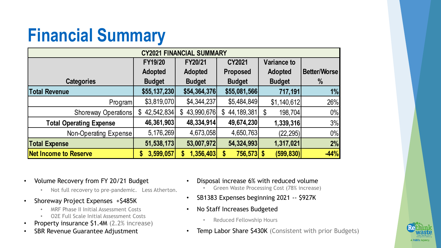## **Financial Summary**

| <b>CY2021 FINANCIAL SUMMARY</b> |                            |                  |                    |                    |              |  |  |
|---------------------------------|----------------------------|------------------|--------------------|--------------------|--------------|--|--|
|                                 | <b>FY19/20</b>             | FY20/21          | <b>CY2021</b>      | <b>Variance to</b> |              |  |  |
|                                 | <b>Adopted</b>             | <b>Adopted</b>   | <b>Proposed</b>    | <b>Adopted</b>     | Better/Worse |  |  |
| <b>Categories</b>               | <b>Budget</b>              | <b>Budget</b>    | <b>Budget</b>      | <b>Budget</b>      | %            |  |  |
| <b>Total Revenue</b>            | \$55,137,230               | \$54,364,376     | \$55,081,566       | 717,191            | 1%           |  |  |
| <b>Program</b>                  | \$3,819,070                | \$4,344,237      | \$5,484,849        | \$1,140,612        | 26%          |  |  |
| Shoreway Operations             | 42,542,834<br>$\mathbb{S}$ | 43,990,676<br>\$ | 44, 189, 381<br>\$ | \$<br>198,704      | $0\%$        |  |  |
| <b>Total Operating Expense</b>  | 46,361,903                 | 48,334,914       | 49,674,230         | 1,339,316          | 3%           |  |  |
| Non-Operating Expense           | 5,176,269                  | 4,673,058        | 4,650,763          | (22, 295)          | $0\%$        |  |  |
| <b>Total Expense</b>            | 51,538,173                 | 53,007,972       | 54,324,993         | 1,317,021          | 2%           |  |  |
| <b>Net Income to Reserve</b>    | 3,599,057                  | 1,356,403        | 756,573 \$         | (599, 830)         | $-44%$       |  |  |

- Volume Recovery from FY 20/21 Budget
	- Not full recovery to pre-pandemic. Less Atherton.
- Shoreway Project Expenses +\$485K
	- MRF Phase II Initial Assessment Costs
	- O2E Full Scale Initial Assessment Costs
- Property insurance \$1.4M (2.2% increase)
- SBR Revenue Guarantee Adjustment
- Disposal increase 6% with reduced volume
	- Green Waste Processing Cost (78% increase)
- SB1383 Expenses beginning 2021 -- \$927K
- No Staff Increases Budgeted
	- Reduced Fellowship Hours
- Temp Labor Share \$430K (Consistent with prior Budgets)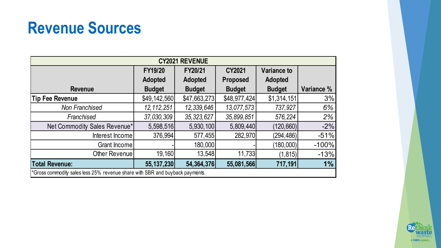#### **Revenue Sources**

| <b>REVENUE</b><br><b>CY2021</b>                                              |                |                |                 |                    |            |  |  |
|------------------------------------------------------------------------------|----------------|----------------|-----------------|--------------------|------------|--|--|
|                                                                              | <b>FY19/20</b> | FY20/21        | CY2021          | <b>Variance to</b> |            |  |  |
|                                                                              | <b>Adopted</b> | <b>Adopted</b> | <b>Proposed</b> | <b>Adopted</b>     |            |  |  |
| <b>Revenue</b>                                                               | <b>Budget</b>  | <b>Budget</b>  | <b>Budget</b>   | <b>Budget</b>      | Variance % |  |  |
| <b>Tip Fee Revenue</b>                                                       | \$49,142,560   | \$47,663,273   | \$48,977,424    | \$1,314,151        | 3%         |  |  |
| <b>Non Franchised</b>                                                        | 12, 112, 251   | 12,339,646     | 13,077,573      | 737,927            | 6%         |  |  |
| Franchised                                                                   | 37,030,309     | 35, 323, 627   | 35,899,851      | 576,224            | 2%         |  |  |
| Net Commodity Sales Revenue*                                                 | 5,598,516      | 5,930,100      | 5,809,440       | (120, 660)         | $-2%$      |  |  |
| Interest Income                                                              | 376,994        | 577,455        | 282,970         | (294, 486)         | $-51%$     |  |  |
| Grant Income                                                                 |                | 180,000        |                 | (180,000)          | $-100%$    |  |  |
| Other Revenue                                                                | 19,160         | 13,548         | 11,733          | (1, 815)           | $-13%$     |  |  |
| <b>Total Revenue:</b>                                                        | 55, 137, 230   | 54,364,376     | 55,081,566      | 717,191            | $1\%$      |  |  |
| *Gross commodity sales less 25% revenue share with SBR and buyback payments. |                |                |                 |                    |            |  |  |

![](_page_5_Picture_2.jpeg)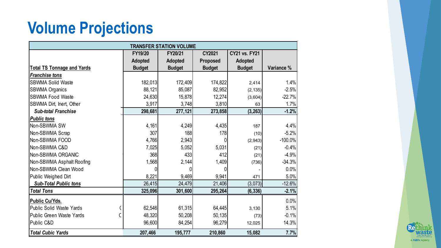#### **Volume Projections**

| <b>TRANSFER STATION VOLUME</b>    |                |                |                 |                      |            |  |  |
|-----------------------------------|----------------|----------------|-----------------|----------------------|------------|--|--|
|                                   | FY19/20        | FY20/21        | CY2021          | <b>CY21 vs. FY21</b> |            |  |  |
|                                   | <b>Adopted</b> | <b>Adopted</b> | <b>Proposed</b> | Adopted              |            |  |  |
| <b>Total TS Tonnage and Yards</b> | <b>Budget</b>  | <b>Budget</b>  | <b>Budget</b>   | <b>Budget</b>        | Variance % |  |  |
| <b>Franchise tons</b>             |                |                |                 |                      |            |  |  |
| <b>SBWMA Solid Waste</b>          | 182,013        | 172,409        | 174,822         | 2,414                | 1.4%       |  |  |
| <b>SBWMA Organics</b>             | 88,121         | 85,087         | 82,952          | (2, 135)             | $-2.5%$    |  |  |
| <b>SBWMA Food Waste</b>           | 24,630         | 15,878         | 12,274          | (3,604)              | $-22.7%$   |  |  |
| SBWMA Dirt, Inert, Other          | 3,917          | 3,748          | 3,810           | 63                   | 1.7%       |  |  |
| <b>Sub-total Franchise</b>        | 298,681        | 277,121        | 273,858         | (3, 263)             | $-1.2%$    |  |  |
| <b>Public tons</b>                |                |                |                 |                      |            |  |  |
| Non-SBWMA SW                      | 4,161          | 4,249          | 4,435           | 187                  | 4.4%       |  |  |
| Non-SBWMA Scrap                   | 307            | 188            | 178             | (10)                 | $-5.2%$    |  |  |
| Non-SBWMA FOOD                    | 4,766          | 2,943          | 0               | (2,943)              | $-100.0\%$ |  |  |
| Non-SBWMA C&D                     | 7,025          | 5,052          | 5,031           | (21)                 | $-0.4%$    |  |  |
| Non-SBWMA ORGANIC                 | 368            | 433            | 412             | (21)                 | $-4.9%$    |  |  |
| Non-SBWMA Asphalt Roofing         | 1,568          | 2,144          | 1,409           | (736)                | $-34.3%$   |  |  |
| Non-SBWMA Clean Wood              | 0              | 0              | U               |                      | $0.0\%$    |  |  |
| Public Weighed Dirt               | 8,221          | 9,469          | 9,941           | 471                  | 5.0%       |  |  |
| <b>Sub-Total Public tons</b>      | 26,415         | 24,479         | 21,406          | (3,073)              | $-12.6%$   |  |  |
| <b>Total Tons</b>                 | 325,096        | 301,600        | 295,264         | (6, 336)             | $-2.1%$    |  |  |
| Public Cu/Yds.                    |                |                |                 |                      | $0.0\%$    |  |  |
| <b>Public Solid Waste Yards</b>   | 62,546         | 61,315         | 64,445          | 3,130                | 5.1%       |  |  |
| <b>Public Green Waste Yards</b>   | 48,320         | 50,208         | 50, 135         | (73)                 | $-0.1%$    |  |  |
| Public C&D                        | 96,600         | 84,254         | 96,279          | 12,025               | 14.3%      |  |  |
| <b>Total Cubic Yards</b>          | 207,466        | 195,777        | 210,860         | 15,082               | 7.7%       |  |  |

![](_page_6_Picture_2.jpeg)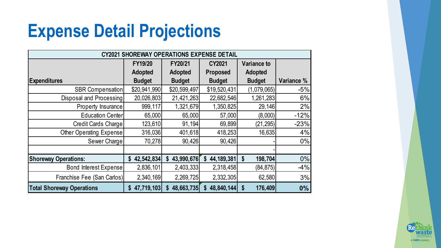### **Expense Detail Projections**

| <b>SHOREWAY OPERATIONS EXPENSE DETAIL</b><br>CY2021 |                           |                             |                    |                    |            |  |  |
|-----------------------------------------------------|---------------------------|-----------------------------|--------------------|--------------------|------------|--|--|
|                                                     | FY19/20                   | FY20/21                     | <b>CY2021</b>      | <b>Variance to</b> |            |  |  |
|                                                     | <b>Adopted</b>            | <b>Adopted</b>              | <b>Proposed</b>    | Adopted            |            |  |  |
| <b>Expenditures</b>                                 | <b>Budget</b>             | <b>Budget</b>               | <b>Budget</b>      | <b>Budget</b>      | Variance % |  |  |
| <b>SBR Compensation</b>                             | \$20,941,990              | \$20,599,497                | \$19,520,431       | (1,079,065)        | $-5%$      |  |  |
| Disposal and Processing                             | 20,026,803                | 21,421,263                  | 22,682,546         | 1,261,283          | 6%         |  |  |
| Property Insurance                                  | 999,117                   | 1,321,679                   | 1,350,825          | 29,146             | 2%         |  |  |
| <b>Education Center</b>                             | 65,000                    | 65,000                      | 57,000             | (8,000)            | $-12%$     |  |  |
| Credit Cards Charge                                 | 123,610                   | 91,194                      | 69,899             | (21, 295)          | $-23%$     |  |  |
| Other Operating Expense                             | 316,036                   | 401,618                     | 418,253            | 16,635             | 4%         |  |  |
| Sewer Charge                                        | 70,278                    | 90,426                      | 90,426             |                    | $0\%$      |  |  |
|                                                     |                           |                             |                    |                    |            |  |  |
| <b>Shoreway Operations:</b>                         | 42,542,834<br>$\mathbf S$ | 43,990,676<br>$\mathbf{\$}$ | 44, 189, 381<br>\$ | 198,704<br>\$      | $0\%$      |  |  |
| Bond Interest Expense                               | 2,836,101                 | 2,403,333                   | 2,318,458          | (84, 875)          | $-4%$      |  |  |
| Franchise Fee (San Carlos)                          | 2,340,169                 | 2,269,725                   | 2,332,305          | 62,580             | 3%         |  |  |
| <b>Total Shoreway Operations</b>                    | 47,719,103<br>S.          | 48,663,735<br>S             | 48,840,144<br>S    | 176,409<br>S       | 0%         |  |  |

![](_page_7_Picture_2.jpeg)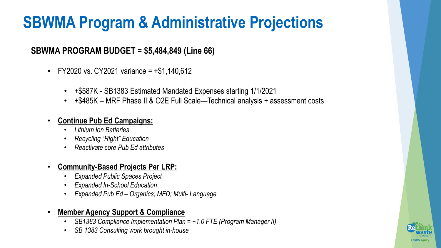#### **SBWMA Program & Administrative Projections**

#### **SBWMA PROGRAM BUDGET** = **\$5,484,849 (Line 66)**

- FY2020 vs. CY2021 variance =  $+ $1,140,612$ 
	- +\$587K SB1383 Estimated Mandated Expenses starting 1/1/2021
	- +\$485K MRF Phase II & O2E Full Scale—Technical analysis + assessment costs

#### • **Continue Pub Ed Campaigns:**

- *Lithium Ion Batteries*
- *Recycling "Right" Education*
- *Reactivate core Pub Ed attributes*

#### • **Community-Based Projects Per LRP:**

- *Expanded Public Spaces Project*
- *Expanded In-School Education*
- *Expanded Pub Ed – Organics; MFD; Multi- Language*

#### • **Member Agency Support & Compliance**

- *SB1383 Compliance Implementation Plan = +1.0 FTE (Program Manager II)*
- *SB 1383 Consulting work brought in-house*

![](_page_8_Picture_16.jpeg)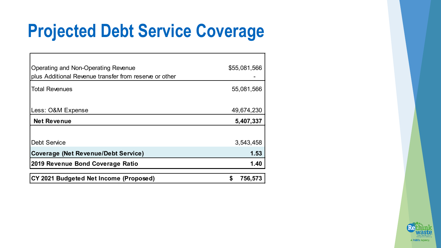### **Projected Debt Service Coverage**

| Operating and Non-Operating Revenue<br>plus Additional Revenue transfer from reserve or other | \$55,081,566  |
|-----------------------------------------------------------------------------------------------|---------------|
| <b>Total Revenues</b>                                                                         | 55,081,566    |
| Less: O&M Expense                                                                             | 49,674,230    |
| <b>Net Revenue</b>                                                                            | 5,407,337     |
| <b>Debt Service</b>                                                                           | 3,543,458     |
| <b>Coverage (Net Revenue/Debt Service)</b>                                                    | 1.53          |
| 2019 Revenue Bond Coverage Ratio                                                              | 1.40          |
| CY 2021 Budgeted Net Income (Proposed)                                                        | \$<br>756,573 |

![](_page_9_Picture_2.jpeg)